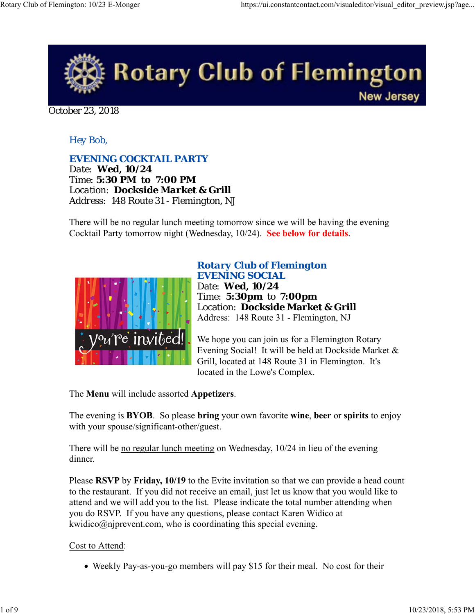

October 23, 2018

# *Hey Bob,*

*EVENING COCKTAIL PARTY Date: Wed, 10/24 Time: 5:30 PM to 7:00 PM Location: Dockside Market & Grill Address: 148 Route 31 - Flemington, NJ*

There will be no regular lunch meeting tomorrow since we will be having the evening Cocktail Party tomorrow night (Wednesday, 10/24). **See below for details**.



## *Rotary Club of Flemington EVENING SOCIAL* Date: **Wed, 10/24** Time: **5:30pm** to **7:00pm** Location: **Dockside Market & Grill** Address: 148 Route 31 - Flemington, NJ

We hope you can join us for a Flemington Rotary Evening Social! It will be held at Dockside Market & Grill, located at 148 Route 31 in Flemington. It's located in the Lowe's Complex.

The **Menu** will include assorted **Appetizers**.

The evening is **BYOB**. So please **bring** your own favorite **wine**, **beer** or **spirits** to enjoy with your spouse/significant-other/guest.

There will be no regular lunch meeting on Wednesday, 10/24 in lieu of the evening dinner.

Please **RSVP** by **Friday, 10/19** to the Evite invitation so that we can provide a head count to the restaurant. If you did not receive an email, just let us know that you would like to attend and we will add you to the list. Please indicate the total number attending when you do RSVP. If you have any questions, please contact Karen Widico at kwidico@njprevent.com, who is coordinating this special evening.

Cost to Attend:

• Weekly Pay-as-you-go members will pay \$15 for their meal. No cost for their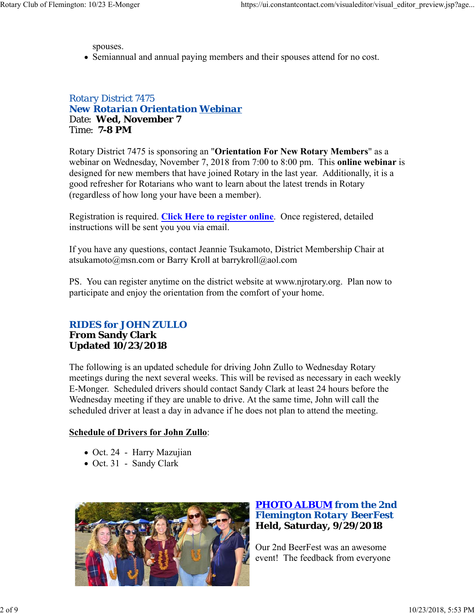spouses.

Semiannual and annual paying members and their spouses attend for no cost.

*Rotary District 7475 New Rotarian Orientation Webinar* Date: **Wed, November 7** Time: **7-8 PM**

Rotary District 7475 is sponsoring an "**Orientation For New Rotary Members**" as a webinar on Wednesday, November 7, 2018 from 7:00 to 8:00 pm. This **online webinar** is designed for new members that have joined Rotary in the last year. Additionally, it is a good refresher for Rotarians who want to learn about the latest trends in Rotary (regardless of how long your have been a member).

Registration is required. **Click Here to register online**. Once registered, detailed instructions will be sent you you via email.

If you have any questions, contact Jeannie Tsukamoto, District Membership Chair at atsukamoto@msn.com or Barry Kroll at barrykroll@aol.com

PS. You can register anytime on the district website at www.njrotary.org. Plan now to participate and enjoy the orientation from the comfort of your home.

## *RIDES for JOHN ZULLO* **From Sandy Clark Updated 10/23/2018**

The following is an updated schedule for driving John Zullo to Wednesday Rotary meetings during the next several weeks. This will be revised as necessary in each weekly E-Monger. Scheduled drivers should contact Sandy Clark at least 24 hours before the Wednesday meeting if they are unable to drive. At the same time, John will call the scheduled driver at least a day in advance if he does not plan to attend the meeting.

# **Schedule of Drivers for John Zullo**:

- Oct. 24 Harry Mazujian
- Oct. 31 Sandy Clark



# *PHOTO ALBUM from the 2nd Flemington Rotary BeerFest* **Held, Saturday, 9/29/2018**

Our 2nd BeerFest was an awesome event! The feedback from everyone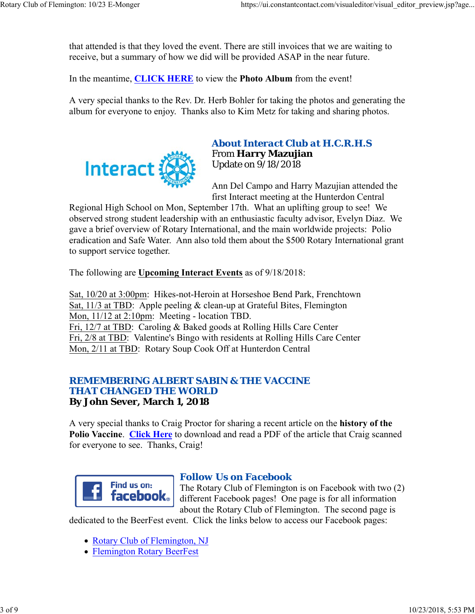that attended is that they loved the event. There are still invoices that we are waiting to receive, but a summary of how we did will be provided ASAP in the near future.

In the meantime, **CLICK HERE** to view the **Photo Album** from the event!

A very special thanks to the Rev. Dr. Herb Bohler for taking the photos and generating the album for everyone to enjoy. Thanks also to Kim Metz for taking and sharing photos.



# *About Interact Club at H.C.R.H.S* From **Harry Mazujian** Update on 9/18/2018

Ann Del Campo and Harry Mazujian attended the first Interact meeting at the Hunterdon Central

Regional High School on Mon, September 17th. What an uplifting group to see! We observed strong student leadership with an enthusiastic faculty advisor, Evelyn Diaz. We gave a brief overview of Rotary International, and the main worldwide projects: Polio eradication and Safe Water. Ann also told them about the \$500 Rotary International grant to support service together.

The following are **Upcoming Interact Events** as of 9/18/2018:

Sat, 10/20 at 3:00pm: Hikes-not-Heroin at Horseshoe Bend Park, Frenchtown Sat, 11/3 at TBD: Apple peeling & clean-up at Grateful Bites, Flemington Mon, 11/12 at 2:10pm: Meeting - location TBD. Fri, 12/7 at TBD: Caroling & Baked goods at Rolling Hills Care Center Fri, 2/8 at TBD: Valentine's Bingo with residents at Rolling Hills Care Center Mon, 2/11 at TBD: Rotary Soup Cook Off at Hunterdon Central

## *REMEMBERING ALBERT SABIN & THE VACCINE THAT CHANGED THE WORLD* **By John Sever, March 1, 2018**

A very special thanks to Craig Proctor for sharing a recent article on the **history of the Polio Vaccine**. **Click Here** to download and read a PDF of the article that Craig scanned for everyone to see. Thanks, Craig!



# *Follow Us on Facebook*

The Rotary Club of Flemington is on Facebook with two (2) different Facebook pages! One page is for all information about the Rotary Club of Flemington. The second page is

dedicated to the BeerFest event. Click the links below to access our Facebook pages:

- Rotary Club of Flemington, NJ
- Flemington Rotary BeerFest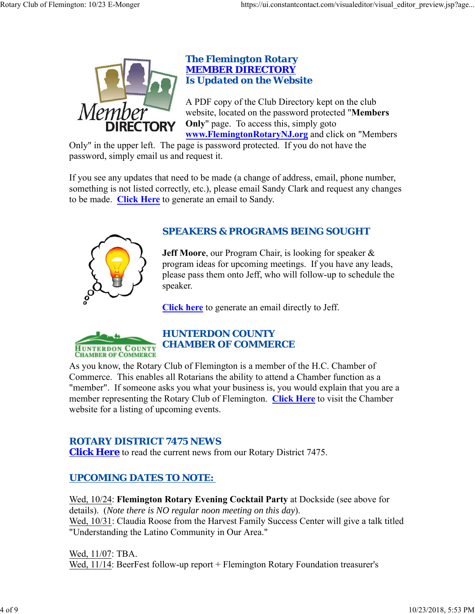

# *The Flemington Rotary MEMBER DIRECTORY Is Updated on the Website*

A PDF copy of the Club Directory kept on the club website, located on the password protected "**Members Only**" page. To access this, simply goto **www.FlemingtonRotaryNJ.org** and click on "Members

Only" in the upper left. The page is password protected. If you do not have the password, simply email us and request it.

If you see any updates that need to be made (a change of address, email, phone number, something is not listed correctly, etc.), please email Sandy Clark and request any changes to be made. **Click Here** to generate an email to Sandy.



# *SPEAKERS & PROGRAMS BEING SOUGHT*

**Jeff Moore**, our Program Chair, is looking for speaker & program ideas for upcoming meetings. If you have any leads, please pass them onto Jeff, who will follow-up to schedule the speaker.

**Click here** to generate an email directly to Jeff.



# *HUNTERDON COUNTY CHAMBER OF COMMERCE*

As you know, the Rotary Club of Flemington is a member of the H.C. Chamber of Commerce. This enables all Rotarians the ability to attend a Chamber function as a "member". If someone asks you what your business is, you would explain that you are a member representing the Rotary Club of Flemington. **Click Here** to visit the Chamber website for a listing of upcoming events.

# *ROTARY DISTRICT 7475 NEWS*

**Click Here** to read the current news from our Rotary District 7475.

# *UPCOMING DATES TO NOTE:*

Wed, 10/24: **Flemington Rotary Evening Cocktail Party** at Dockside (see above for details). (*Note there is NO regular noon meeting on this day*). Wed, 10/31: Claudia Roose from the Harvest Family Success Center will give a talk titled "Understanding the Latino Community in Our Area."

Wed, 11/07: TBA. Wed, 11/14: BeerFest follow-up report + Flemington Rotary Foundation treasurer's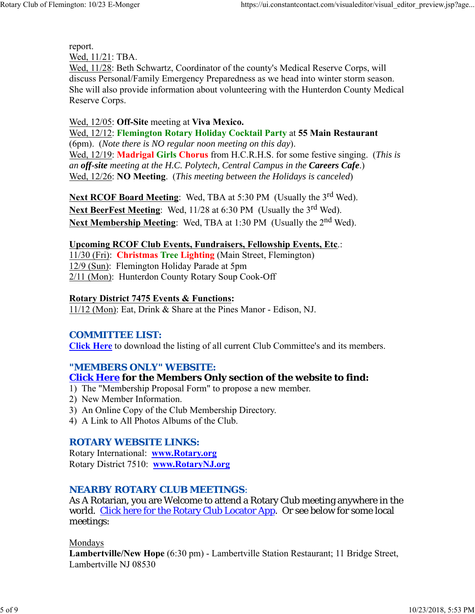report.

Wed, 11/21: TBA.

Wed, 11/28: Beth Schwartz, Coordinator of the county's Medical Reserve Corps, will discuss Personal/Family Emergency Preparedness as we head into winter storm season. She will also provide information about volunteering with the Hunterdon County Medical Reserve Corps.

#### Wed, 12/05: **Off-Site** meeting at **Viva Mexico.**

Wed, 12/12: **Flemington Rotary Holiday Cocktail Party** at **55 Main Restaurant** (6pm). (*Note there is NO regular noon meeting on this day*). Wed, 12/19: **Madrigal Girls Chorus** from H.C.R.H.S. for some festive singing. (*This is an off-site meeting at the H.C. Polytech, Central Campus in the Careers Cafe*.) Wed, 12/26: **NO Meeting**. (*This meeting between the Holidays is canceled*)

**Next RCOF Board Meeting:** Wed, TBA at 5:30 PM (Usually the 3<sup>rd</sup> Wed). **Next BeerFest Meeting:** Wed, 11/28 at 6:30 PM (Usually the 3<sup>rd</sup> Wed). **Next Membership Meeting:** Wed, TBA at 1:30 PM (Usually the 2<sup>nd</sup> Wed).

## **Upcoming RCOF Club Events, Fundraisers, Fellowship Events, Etc**.:

11/30 (Fri): **Christmas Tree Lighting** (Main Street, Flemington) 12/9 (Sun): Flemington Holiday Parade at 5pm 2/11 (Mon): Hunterdon County Rotary Soup Cook-Off

## **Rotary District 7475 Events & Functions:**

11/12 (Mon): Eat, Drink & Share at the Pines Manor - Edison, NJ.

# *COMMITTEE LIST:*

**Click Here** to download the listing of all current Club Committee's and its members.

# *"MEMBERS ONLY" WEBSITE:*

# **Click Here for the Members Only section of the website to find:**

- 1) The "Membership Proposal Form" to propose a new member.
- 2) New Member Information.
- 3) An Online Copy of the Club Membership Directory.
- 4) A Link to All Photos Albums of the Club.

# *ROTARY WEBSITE LINKS:*

Rotary International: **www.Rotary.org** Rotary District 7510: **www.RotaryNJ.org**

# *NEARBY ROTARY CLUB MEETINGS:*

As A Rotarian, you are Welcome to attend a Rotary Club meeting anywhere in the world. Click here for the Rotary Club Locator App. Or see below for some local meetings:

Mondays

**Lambertville/New Hope** (6:30 pm) - Lambertville Station Restaurant; 11 Bridge Street, Lambertville NJ 08530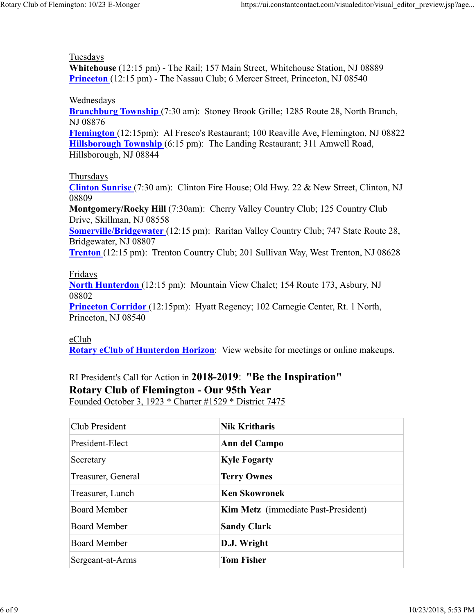#### Tuesdays

**Whitehouse** (12:15 pm) - The Rail; 157 Main Street, Whitehouse Station, NJ 08889 **Princeton** (12:15 pm) - The Nassau Club; 6 Mercer Street, Princeton, NJ 08540

#### Wednesdays

**Branchburg Township** (7:30 am): Stoney Brook Grille; 1285 Route 28, North Branch, NJ 08876

**Flemington** (12:15pm): Al Fresco's Restaurant; 100 Reaville Ave, Flemington, NJ 08822 **Hillsborough Township** (6:15 pm): The Landing Restaurant; 311 Amwell Road, Hillsborough, NJ 08844

#### Thursdays

**Clinton Sunrise** (7:30 am): Clinton Fire House; Old Hwy. 22 & New Street, Clinton, NJ 08809

**Montgomery/Rocky Hill** (7:30am): Cherry Valley Country Club; 125 Country Club Drive, Skillman, NJ 08558

**Somerville/Bridgewater** (12:15 pm): Raritan Valley Country Club; 747 State Route 28, Bridgewater, NJ 08807

**Trenton** (12:15 pm): Trenton Country Club; 201 Sullivan Way, West Trenton, NJ 08628

## Fridays

**North Hunterdon** (12:15 pm): Mountain View Chalet; 154 Route 173, Asbury, NJ 08802

**Princeton Corridor** (12:15pm): Hyatt Regency; 102 Carnegie Center, Rt. 1 North, Princeton, NJ 08540

#### eClub

**Rotary eClub of Hunterdon Horizon**: View website for meetings or online makeups.

# RI President's Call for Action in **2018-2019**: **"Be the Inspiration" Rotary Club of Flemington - Our 95th Year**

Founded October 3, 1923 \* Charter #1529 \* District 7475

| Club President      | <b>Nik Kritharis</b>                       |
|---------------------|--------------------------------------------|
| President-Elect     | Ann del Campo                              |
| Secretary           | <b>Kyle Fogarty</b>                        |
| Treasurer, General  | <b>Terry Ownes</b>                         |
| Treasurer, Lunch    | <b>Ken Skowronek</b>                       |
| <b>Board Member</b> | <b>Kim Metz</b> (immediate Past-President) |
| <b>Board Member</b> | <b>Sandy Clark</b>                         |
| <b>Board Member</b> | D.J. Wright                                |
| Sergeant-at-Arms    | <b>Tom Fisher</b>                          |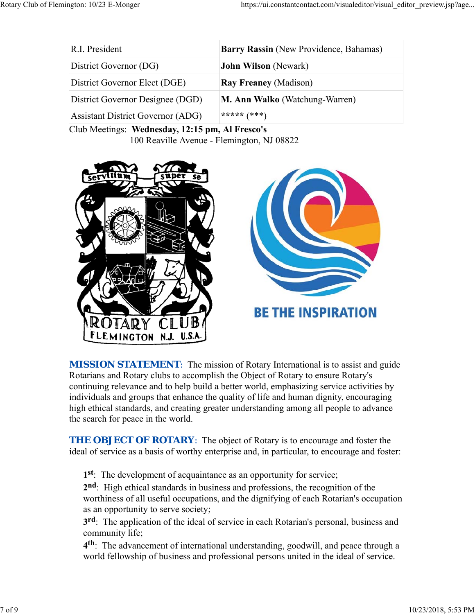| R.I. President                           | Barry Rassin (New Providence, Bahamas) |
|------------------------------------------|----------------------------------------|
| District Governor (DG)                   | <b>John Wilson</b> (Newark)            |
| District Governor Elect (DGE)            | <b>Ray Freaney (Madison)</b>           |
| District Governor Designee (DGD)         | <b>M. Ann Walko</b> (Watchung-Warren)  |
| <b>Assistant District Governor (ADG)</b> | ***** $(***)$                          |

Club Meetings: **Wednesday, 12:15 pm, Al Fresco's** 100 Reaville Avenue - Flemington, NJ 08822



**MISSION STATEMENT:** The mission of Rotary International is to assist and guide Rotarians and Rotary clubs to accomplish the Object of Rotary to ensure Rotary's continuing relevance and to help build a better world, emphasizing service activities by individuals and groups that enhance the quality of life and human dignity, encouraging high ethical standards, and creating greater understanding among all people to advance the search for peace in the world.

**THE OBJECT OF ROTARY:** The object of Rotary is to encourage and foster the ideal of service as a basis of worthy enterprise and, in particular, to encourage and foster:

**1st**: The development of acquaintance as an opportunity for service;

**2nd**: High ethical standards in business and professions, the recognition of the worthiness of all useful occupations, and the dignifying of each Rotarian's occupation as an opportunity to serve society;

**3rd**: The application of the ideal of service in each Rotarian's personal, business and community life;

**4th**: The advancement of international understanding, goodwill, and peace through a world fellowship of business and professional persons united in the ideal of service.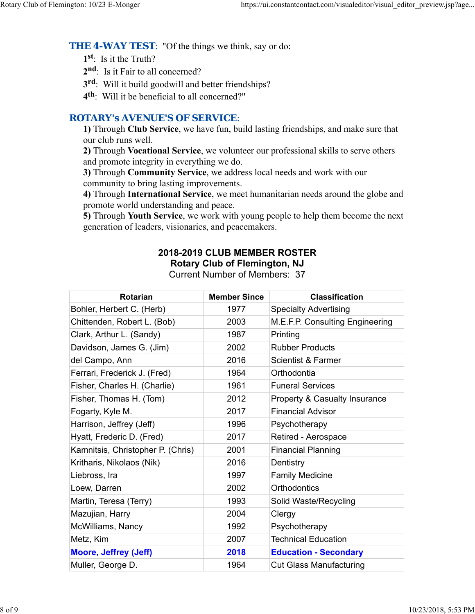**THE 4-WAY TEST:** "Of the things we think, say or do:

**1st**: Is it the Truth?

2<sup>nd</sup>: Is it Fair to all concerned?

**3rd**: Will it build goodwill and better friendships?

**4th**: Will it be beneficial to all concerned?"

# *ROTARY's AVENUE'S OF SERVICE*:

**1)** Through **Club Service**, we have fun, build lasting friendships, and make sure that our club runs well.

**2)** Through **Vocational Service**, we volunteer our professional skills to serve others and promote integrity in everything we do.

**3)** Through **Community Service**, we address local needs and work with our community to bring lasting improvements.

**4)** Through **International Service**, we meet humanitarian needs around the globe and promote world understanding and peace.

**5)** Through **Youth Service**, we work with young people to help them become the next generation of leaders, visionaries, and peacemakers.

# **2018-2019 CLUB MEMBER ROSTER Rotary Club of Flemington, NJ**

Current Number of Members: 37

| <b>Rotarian</b>                   | <b>Member Since</b> | <b>Classification</b>                    |
|-----------------------------------|---------------------|------------------------------------------|
| Bohler, Herbert C. (Herb)         | 1977                | <b>Specialty Advertising</b>             |
| Chittenden, Robert L. (Bob)       | 2003                | M.E.F.P. Consulting Engineering          |
| Clark, Arthur L. (Sandy)          | 1987                | Printing                                 |
| Davidson, James G. (Jim)          | 2002                | <b>Rubber Products</b>                   |
| del Campo, Ann                    | 2016                | <b>Scientist &amp; Farmer</b>            |
| Ferrari, Frederick J. (Fred)      | 1964                | Orthodontia                              |
| Fisher, Charles H. (Charlie)      | 1961                | <b>Funeral Services</b>                  |
| Fisher, Thomas H. (Tom)           | 2012                | <b>Property &amp; Casualty Insurance</b> |
| Fogarty, Kyle M.                  | 2017                | <b>Financial Advisor</b>                 |
| Harrison, Jeffrey (Jeff)          | 1996                | Psychotherapy                            |
| Hyatt, Frederic D. (Fred)         | 2017                | Retired - Aerospace                      |
| Kamnitsis, Christopher P. (Chris) | 2001                | <b>Financial Planning</b>                |
| Kritharis, Nikolaos (Nik)         | 2016                | Dentistry                                |
| Liebross, Ira                     | 1997                | <b>Family Medicine</b>                   |
| Loew, Darren                      | 2002                | <b>Orthodontics</b>                      |
| Martin, Teresa (Terry)            | 1993                | Solid Waste/Recycling                    |
| Mazujian, Harry                   | 2004                | Clergy                                   |
| McWilliams, Nancy                 | 1992                | Psychotherapy                            |
| Metz, Kim                         | 2007                | <b>Technical Education</b>               |
| <b>Moore, Jeffrey (Jeff)</b>      | 2018                | <b>Education - Secondary</b>             |
| Muller, George D.                 | 1964                | <b>Cut Glass Manufacturing</b>           |